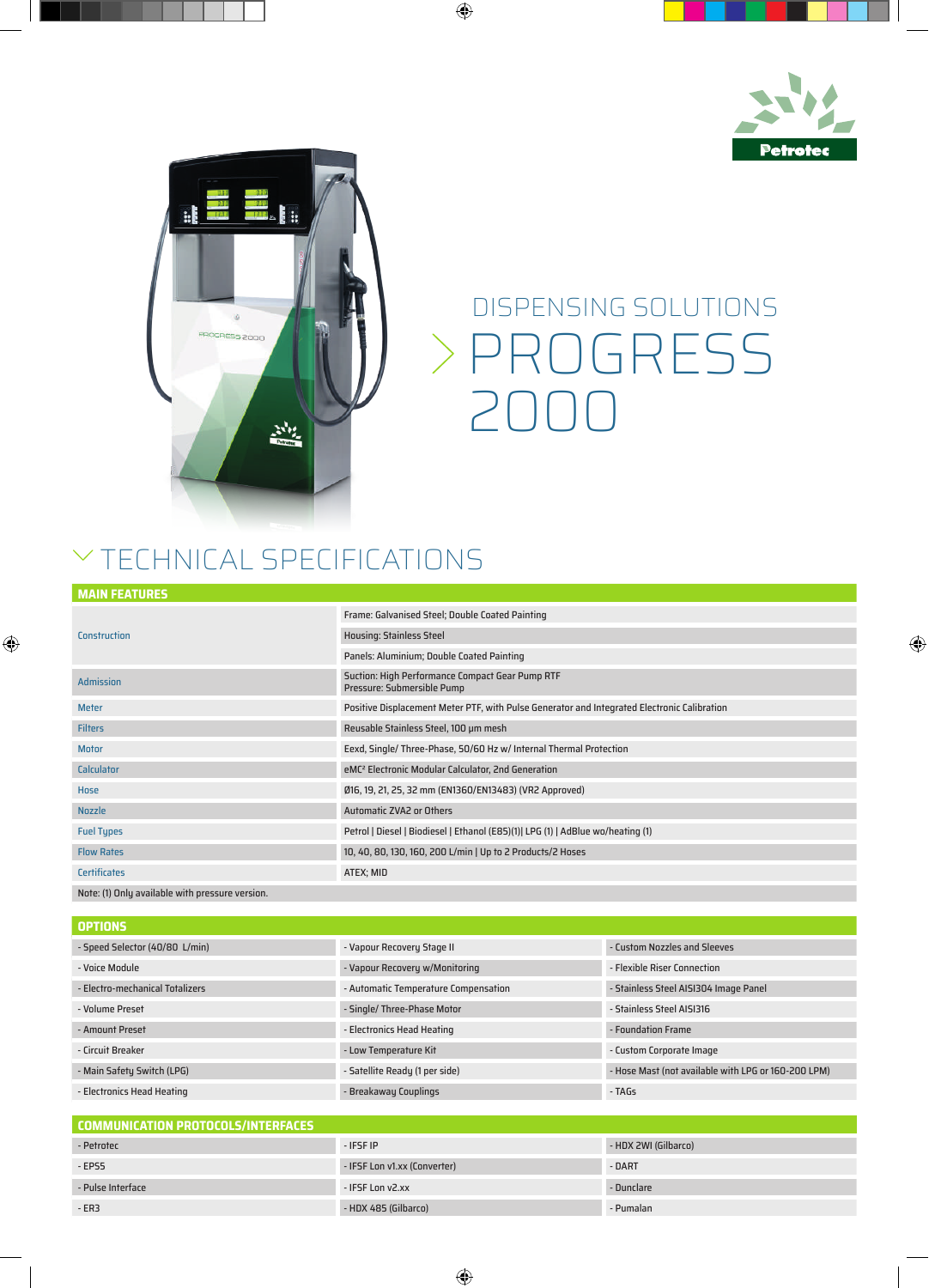



## PROGRESS 2000 DISPENSING SOLUTIONS

## $\vee$  TECHNICAL SPECIFICATIONS

| <b>MAIN FEATURES</b> |                                                                                             |
|----------------------|---------------------------------------------------------------------------------------------|
| Construction         | Frame: Galvanised Steel; Double Coated Painting                                             |
|                      | <b>Housing: Stainless Steel</b>                                                             |
|                      | Panels: Aluminium; Double Coated Painting                                                   |
| <b>Admission</b>     | Suction: High Performance Compact Gear Pump RTF<br>Pressure: Submersible Pump               |
| <b>Meter</b>         | Positive Displacement Meter PTF, with Pulse Generator and Integrated Electronic Calibration |
| <b>Filters</b>       | Reusable Stainless Steel, 100 µm mesh                                                       |
| <b>Motor</b>         | Eexd, Single/ Three-Phase, 50/60 Hz w/ Internal Thermal Protection                          |
| Calculator           | eMC <sup>2</sup> Electronic Modular Calculator, 2nd Generation                              |
| Hose                 | Ø16, 19, 21, 25, 32 mm (EN1360/EN13483) (VR2 Approved)                                      |
| <b>Nozzle</b>        | <b>Automatic ZVA2 or Others</b>                                                             |
| <b>Fuel Types</b>    | Petrol   Diesel   Biodiesel   Ethanol (E85)(1)  LPG (1)   AdBlue wo/heating (1)             |
| <b>Flow Rates</b>    | 10, 40, 80, 130, 160, 200 L/min   Up to 2 Products/2 Hoses                                  |
| <b>Certificates</b>  | ATEX; MID                                                                                   |

## Note: (1) Only available with pressure version.

| <b>OPTIONS</b>                  |                                      |                                                     |
|---------------------------------|--------------------------------------|-----------------------------------------------------|
| - Speed Selector (40/80 L/min)  | - Vapour Recovery Stage II           | - Custom Nozzles and Sleeves                        |
| - Voice Module                  | - Vapour Recovery w/Monitoring       | - Flexible Riser Connection                         |
| - Electro-mechanical Totalizers | - Automatic Temperature Compensation | - Stainless Steel AISI304 Image Panel               |
| - Volume Preset                 | - Single/ Three-Phase Motor          | - Stainless Steel AISI316                           |
| - Amount Preset                 | - Electronics Head Heating           | - Foundation Frame                                  |
| - Circuit Breaker               | - Low Temperature Kit                | - Custom Corporate Image                            |
| - Main Safety Switch (LPG)      | - Satellite Ready (1 per side)       | - Hose Mast (not available with LPG or 160-200 LPM) |
| - Electronics Head Heating      | - Breakaway Couplings                | - TAGs                                              |

| COMMUNICATION PROTOCOLS/INTERFACES |                              |                      |  |
|------------------------------------|------------------------------|----------------------|--|
| - Petrotec                         | - IFSF IP                    | - HDX 2WI (Gilbarco) |  |
| $-EPS5$                            | - IFSF Lon v1.xx (Converter) | - DART               |  |
| - Pulse Interface                  | - IFSF Lon v2.xx             | - Dunclare           |  |
| $-ER3$                             | - HDX 485 (Gilbarco)         | - Pumalan            |  |